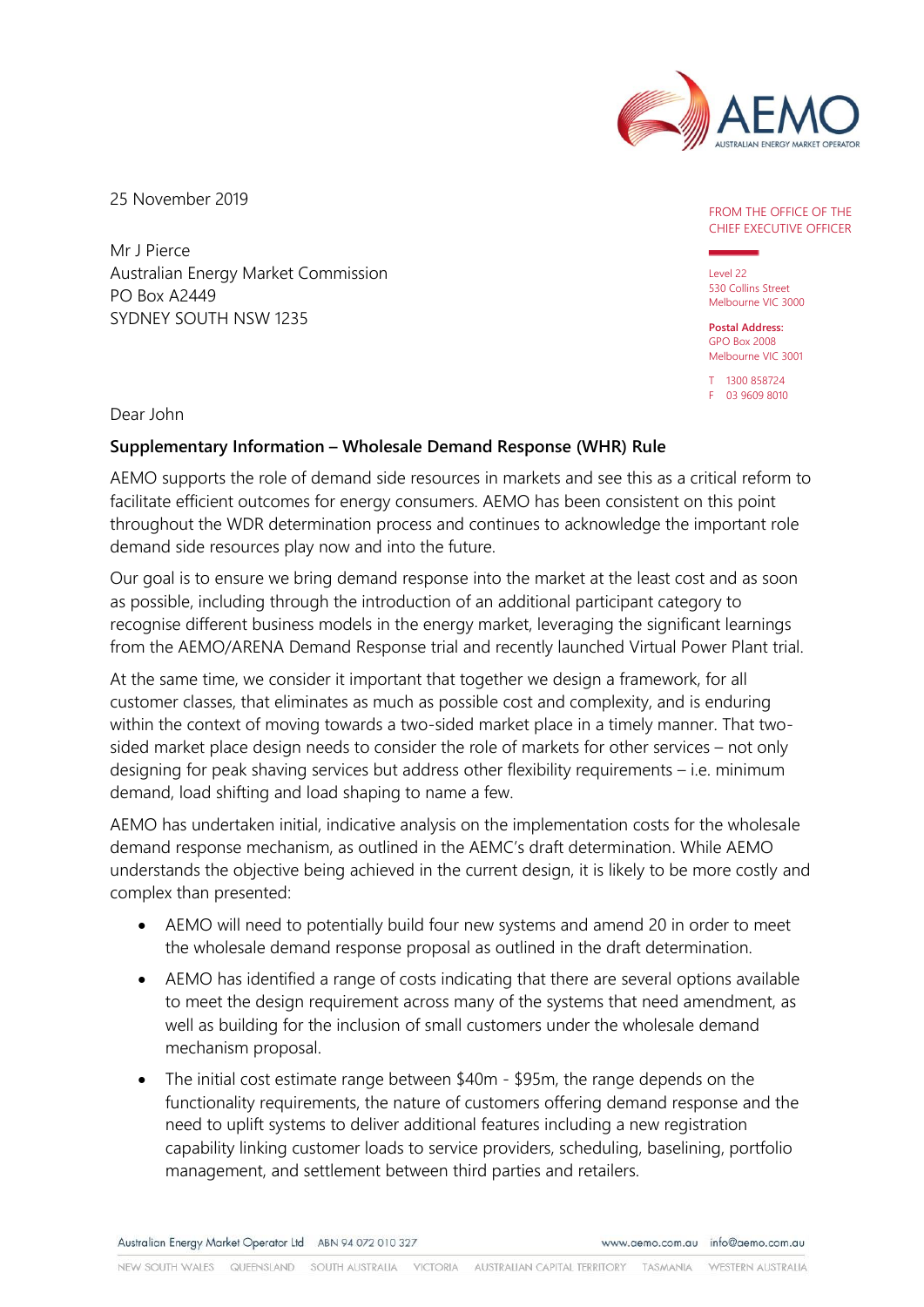

25 November 2019

Mr J Pierce Australian Energy Market Commission PO Box A2449 SYDNEY SOUTH NSW 1235

## FROM THE OFFICE OF THE CHIEF EXECUTIVE OFFICER

Level 22 530 Collins Street Melbourne VIC 3000

**Postal Address:** GPO Box 2008 Melbourne VIC 3001

T 1300 858724 F 03 9609 8010

Dear John

## **Supplementary Information – Wholesale Demand Response (WHR) Rule**

AEMO supports the role of demand side resources in markets and see this as a critical reform to facilitate efficient outcomes for energy consumers. AEMO has been consistent on this point throughout the WDR determination process and continues to acknowledge the important role demand side resources play now and into the future.

Our goal is to ensure we bring demand response into the market at the least cost and as soon as possible, including through the introduction of an additional participant category to recognise different business models in the energy market, leveraging the significant learnings from the AEMO/ARENA Demand Response trial and recently launched Virtual Power Plant trial.

At the same time, we consider it important that together we design a framework, for all customer classes, that eliminates as much as possible cost and complexity, and is enduring within the context of moving towards a two-sided market place in a timely manner. That twosided market place design needs to consider the role of markets for other services – not only designing for peak shaving services but address other flexibility requirements – i.e. minimum demand, load shifting and load shaping to name a few.

AEMO has undertaken initial, indicative analysis on the implementation costs for the wholesale demand response mechanism, as outlined in the AEMC's draft determination. While AEMO understands the objective being achieved in the current design, it is likely to be more costly and complex than presented:

- AEMO will need to potentially build four new systems and amend 20 in order to meet the wholesale demand response proposal as outlined in the draft determination.
- AEMO has identified a range of costs indicating that there are several options available to meet the design requirement across many of the systems that need amendment, as well as building for the inclusion of small customers under the wholesale demand mechanism proposal.
- The initial cost estimate range between \$40m \$95m, the range depends on the functionality requirements, the nature of customers offering demand response and the need to uplift systems to deliver additional features including a new registration capability linking customer loads to service providers, scheduling, baselining, portfolio management, and settlement between third parties and retailers.

Australian Energy Market Operator Ltd ABN 94 072 010 327